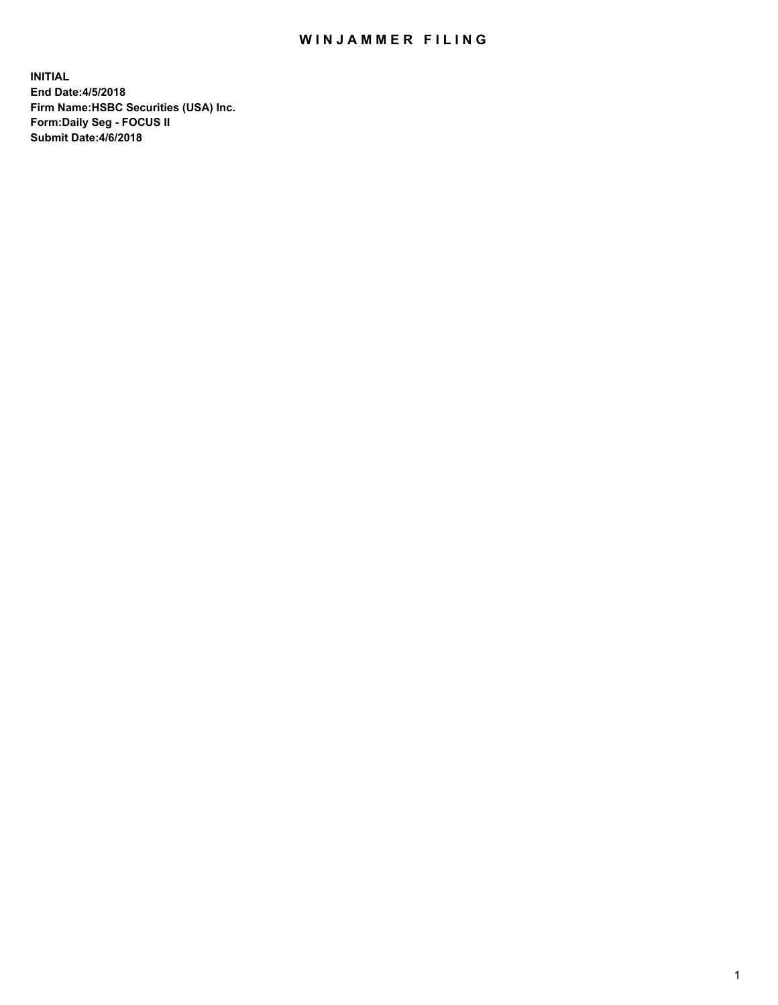## WIN JAMMER FILING

**INITIAL End Date:4/5/2018 Firm Name:HSBC Securities (USA) Inc. Form:Daily Seg - FOCUS II Submit Date:4/6/2018**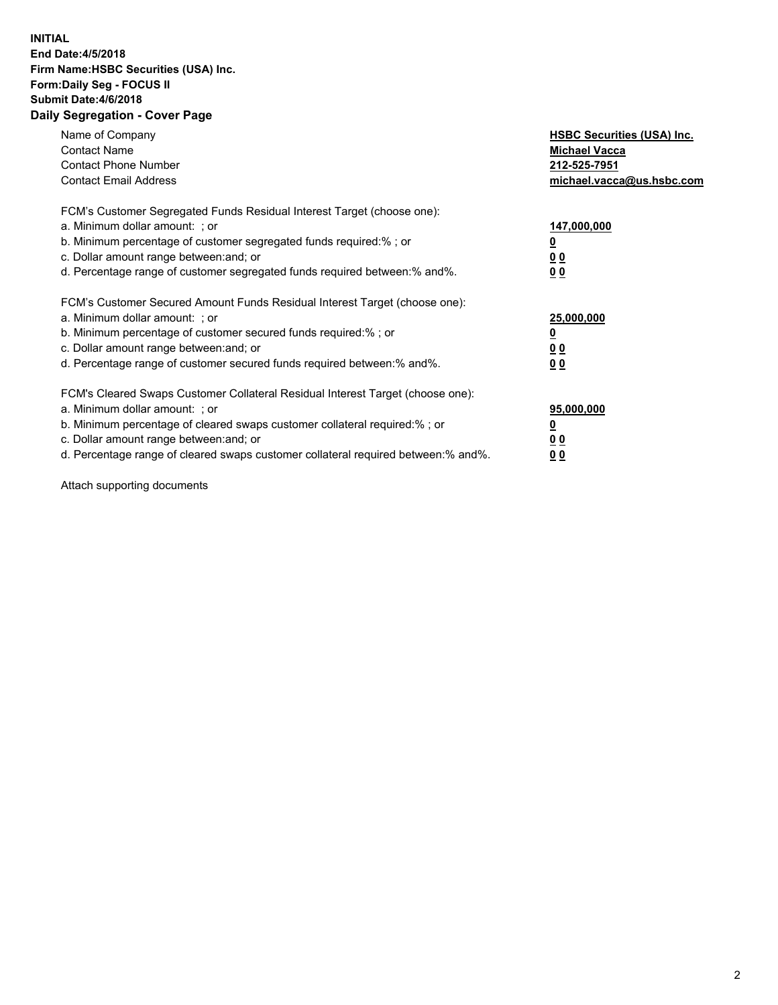## **INITIAL End Date:4/5/2018 Firm Name:HSBC Securities (USA) Inc. Form:Daily Seg - FOCUS II Submit Date:4/6/2018 Daily Segregation - Cover Page**

| Name of Company<br><b>Contact Name</b><br><b>Contact Phone Number</b><br><b>Contact Email Address</b>                                                                                                                                                                                                                          | <b>HSBC Securities (USA) Inc.</b><br><b>Michael Vacca</b><br>212-525-7951<br>michael.vacca@us.hsbc.com |
|--------------------------------------------------------------------------------------------------------------------------------------------------------------------------------------------------------------------------------------------------------------------------------------------------------------------------------|--------------------------------------------------------------------------------------------------------|
| FCM's Customer Segregated Funds Residual Interest Target (choose one):<br>a. Minimum dollar amount: ; or<br>b. Minimum percentage of customer segregated funds required:%; or<br>c. Dollar amount range between: and; or<br>d. Percentage range of customer segregated funds required between:% and%.                          | 147,000,000<br><u>0</u><br><u>00</u><br>00                                                             |
| FCM's Customer Secured Amount Funds Residual Interest Target (choose one):<br>a. Minimum dollar amount: ; or<br>b. Minimum percentage of customer secured funds required:%; or<br>c. Dollar amount range between: and; or<br>d. Percentage range of customer secured funds required between:% and%.                            | 25,000,000<br><u>0</u><br><u>00</u><br>00                                                              |
| FCM's Cleared Swaps Customer Collateral Residual Interest Target (choose one):<br>a. Minimum dollar amount: ; or<br>b. Minimum percentage of cleared swaps customer collateral required:% ; or<br>c. Dollar amount range between: and; or<br>d. Percentage range of cleared swaps customer collateral required between:% and%. | 95,000,000<br><u>0</u><br><u>00</u><br>0 <sub>0</sub>                                                  |

Attach supporting documents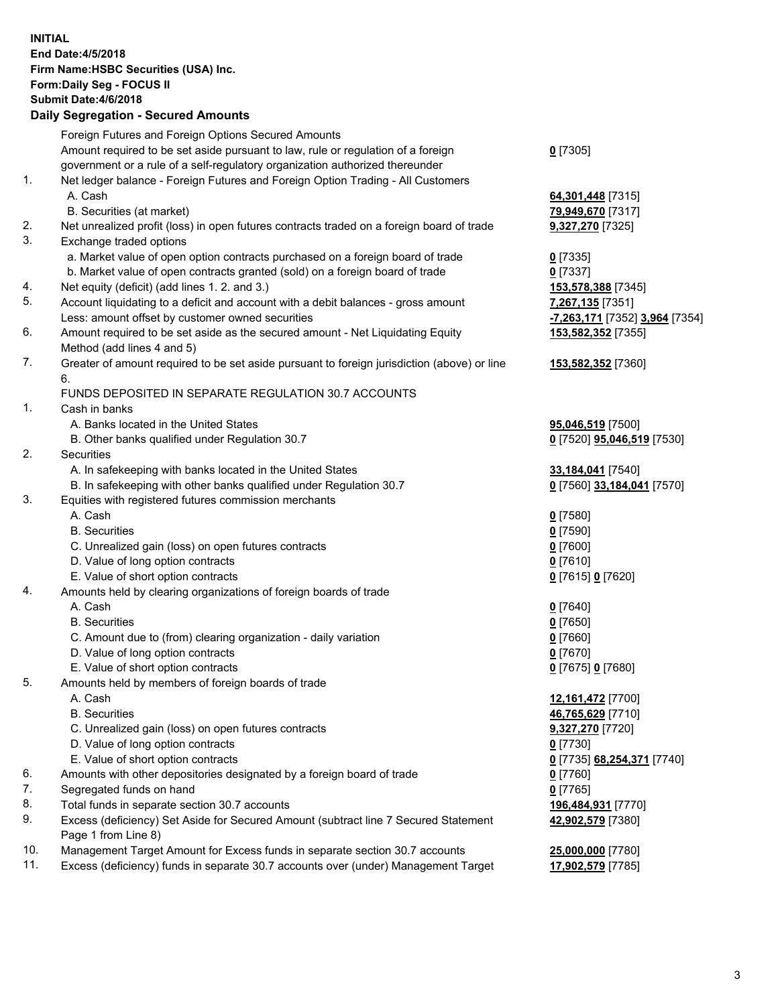**INITIAL End Date:4/5/2018 Firm Name:HSBC Securities (USA) Inc. Form:Daily Seg - FOCUS II Submit Date:4/6/2018 Daily Segregation - Secured Amounts** Foreign Futures and Foreign Options Secured Amounts Amount required to be set aside pursuant to law, rule or regulation of a foreign government or a rule of a self-regulatory organization authorized thereunder **0** [7305] 1. Net ledger balance - Foreign Futures and Foreign Option Trading - All Customers A. Cash **64,301,448** [7315] B. Securities (at market) **79,949,670** [7317] 2. Net unrealized profit (loss) in open futures contracts traded on a foreign board of trade **9,327,270** [7325] 3. Exchange traded options a. Market value of open option contracts purchased on a foreign board of trade **0** [7335] b. Market value of open contracts granted (sold) on a foreign board of trade **0** [7337] 4. Net equity (deficit) (add lines 1. 2. and 3.) **153,578,388** [7345] 5. Account liquidating to a deficit and account with a debit balances - gross amount **7,267,135** [7351] Less: amount offset by customer owned securities **-7,263,171** [7352] **3,964** [7354] 6. Amount required to be set aside as the secured amount - Net Liquidating Equity Method (add lines 4 and 5) **153,582,352** [7355] 7. Greater of amount required to be set aside pursuant to foreign jurisdiction (above) or line 6. **153,582,352** [7360] FUNDS DEPOSITED IN SEPARATE REGULATION 30.7 ACCOUNTS 1. Cash in banks A. Banks located in the United States **95,046,519** [7500] B. Other banks qualified under Regulation 30.7 **0** [7520] **95,046,519** [7530] 2. Securities A. In safekeeping with banks located in the United States **33,184,041** [7540] B. In safekeeping with other banks qualified under Regulation 30.7 **0** [7560] **33,184,041** [7570] 3. Equities with registered futures commission merchants A. Cash **0** [7580] B. Securities **0** [7590] C. Unrealized gain (loss) on open futures contracts **0** [7600] D. Value of long option contracts **0** [7610] E. Value of short option contracts **0** [7615] **0** [7620] 4. Amounts held by clearing organizations of foreign boards of trade A. Cash **0** [7640] B. Securities **0** [7650] C. Amount due to (from) clearing organization - daily variation **0** [7660] D. Value of long option contracts **0** [7670] E. Value of short option contracts **0** [7675] **0** [7680] 5. Amounts held by members of foreign boards of trade A. Cash **12,161,472** [7700] B. Securities **46,765,629** [7710] C. Unrealized gain (loss) on open futures contracts **9,327,270** [7720] D. Value of long option contracts **0** [7730] E. Value of short option contracts **0** [7735] **68,254,371** [7740] 6. Amounts with other depositories designated by a foreign board of trade **0** [7760] 7. Segregated funds on hand **0** [7765] 8. Total funds in separate section 30.7 accounts **196,484,931** [7770] 9. Excess (deficiency) Set Aside for Secured Amount (subtract line 7 Secured Statement Page 1 from Line 8) **42,902,579** [7380] 10. Management Target Amount for Excess funds in separate section 30.7 accounts **25,000,000** [7780] 11. Excess (deficiency) funds in separate 30.7 accounts over (under) Management Target **17,902,579** [7785]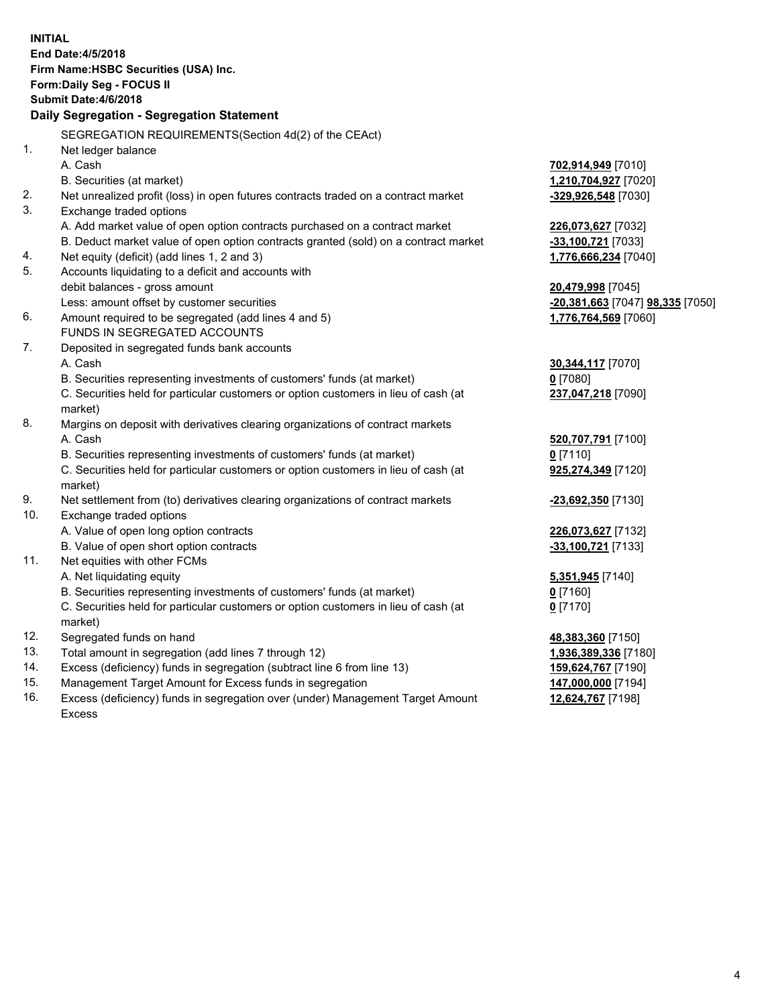| <b>INITIAL</b>                        |                                                                                     |                                                       |  |  |  |  |
|---------------------------------------|-------------------------------------------------------------------------------------|-------------------------------------------------------|--|--|--|--|
| End Date: 4/5/2018                    |                                                                                     |                                                       |  |  |  |  |
| Firm Name: HSBC Securities (USA) Inc. |                                                                                     |                                                       |  |  |  |  |
| Form: Daily Seg - FOCUS II            |                                                                                     |                                                       |  |  |  |  |
|                                       | Submit Date: 4/6/2018                                                               |                                                       |  |  |  |  |
|                                       | Daily Segregation - Segregation Statement                                           |                                                       |  |  |  |  |
|                                       |                                                                                     |                                                       |  |  |  |  |
|                                       | SEGREGATION REQUIREMENTS(Section 4d(2) of the CEAct)                                |                                                       |  |  |  |  |
| 1.                                    | Net ledger balance                                                                  |                                                       |  |  |  |  |
|                                       | A. Cash                                                                             | 702,914,949 [7010]                                    |  |  |  |  |
|                                       | B. Securities (at market)                                                           | 1,210,704,927 [7020]                                  |  |  |  |  |
| 2.                                    | Net unrealized profit (loss) in open futures contracts traded on a contract market  | -329,926,548 [7030]                                   |  |  |  |  |
| 3.                                    | Exchange traded options                                                             |                                                       |  |  |  |  |
|                                       | A. Add market value of open option contracts purchased on a contract market         | 226,073,627 [7032]                                    |  |  |  |  |
|                                       | B. Deduct market value of open option contracts granted (sold) on a contract market | -33,100,721 [7033]                                    |  |  |  |  |
| 4.<br>5.                              | Net equity (deficit) (add lines 1, 2 and 3)                                         | 1,776,666,234 [7040]                                  |  |  |  |  |
|                                       | Accounts liquidating to a deficit and accounts with                                 |                                                       |  |  |  |  |
|                                       | debit balances - gross amount<br>Less: amount offset by customer securities         | 20,479,998 [7045]<br>-20,381,663 [7047] 98,335 [7050] |  |  |  |  |
| 6.                                    | Amount required to be segregated (add lines 4 and 5)                                | 1,776,764,569 [7060]                                  |  |  |  |  |
|                                       | FUNDS IN SEGREGATED ACCOUNTS                                                        |                                                       |  |  |  |  |
| 7.                                    | Deposited in segregated funds bank accounts                                         |                                                       |  |  |  |  |
|                                       | A. Cash                                                                             | 30,344,117 [7070]                                     |  |  |  |  |
|                                       | B. Securities representing investments of customers' funds (at market)              | $0$ [7080]                                            |  |  |  |  |
|                                       | C. Securities held for particular customers or option customers in lieu of cash (at | 237,047,218 [7090]                                    |  |  |  |  |
|                                       | market)                                                                             |                                                       |  |  |  |  |
| 8.                                    | Margins on deposit with derivatives clearing organizations of contract markets      |                                                       |  |  |  |  |
|                                       | A. Cash                                                                             | 520,707,791 [7100]                                    |  |  |  |  |
|                                       | B. Securities representing investments of customers' funds (at market)              | $0$ [7110]                                            |  |  |  |  |
|                                       | C. Securities held for particular customers or option customers in lieu of cash (at | 925,274,349 [7120]                                    |  |  |  |  |
|                                       | market)                                                                             |                                                       |  |  |  |  |
| 9.                                    | Net settlement from (to) derivatives clearing organizations of contract markets     | -23,692,350 [7130]                                    |  |  |  |  |
| 10.                                   | Exchange traded options                                                             |                                                       |  |  |  |  |
|                                       | A. Value of open long option contracts                                              | 226,073,627 [7132]                                    |  |  |  |  |
|                                       | B. Value of open short option contracts                                             | $-33,100,721$ [7133]                                  |  |  |  |  |
| 11.                                   | Net equities with other FCMs                                                        |                                                       |  |  |  |  |
|                                       | A. Net liquidating equity                                                           | 5,351,945 [7140]                                      |  |  |  |  |
|                                       | B. Securities representing investments of customers' funds (at market)              | <u>0</u> [7160]                                       |  |  |  |  |
|                                       | C. Securities held for particular customers or option customers in lieu of cash (at | $0$ [7170]                                            |  |  |  |  |
|                                       | market)                                                                             |                                                       |  |  |  |  |
| 12.                                   | Segregated funds on hand                                                            | 48,383,360 [7150]                                     |  |  |  |  |
| 13.                                   | Total amount in segregation (add lines 7 through 12)                                | 1,936,389,336 [7180]                                  |  |  |  |  |
| 14.                                   | Excess (deficiency) funds in segregation (subtract line 6 from line 13)             | 159,624,767 [7190]                                    |  |  |  |  |
| 15.                                   | Management Target Amount for Excess funds in segregation                            | 147,000,000 [7194]                                    |  |  |  |  |
| 16.                                   | Excess (deficiency) funds in segregation over (under) Management Target Amount      | 12,624,767 [7198]                                     |  |  |  |  |

16. Excess (deficiency) funds in segregation over (under) Management Target Amount Excess